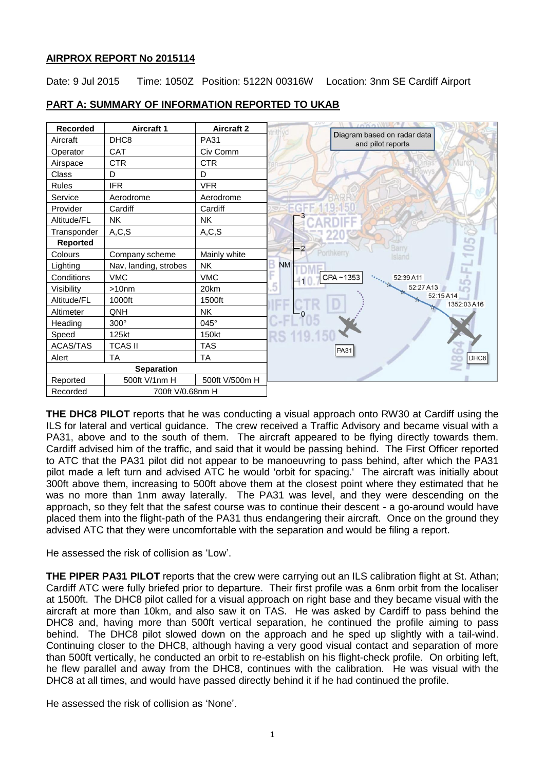# **AIRPROX REPORT No 2015114**

Date: 9 Jul 2015 Time: 1050Z Position: 5122N 00316W Location: 3nm SE Cardiff Airport



# **PART A: SUMMARY OF INFORMATION REPORTED TO UKAB**

**THE DHC8 PILOT** reports that he was conducting a visual approach onto RW30 at Cardiff using the ILS for lateral and vertical guidance. The crew received a Traffic Advisory and became visual with a PA31, above and to the south of them. The aircraft appeared to be flying directly towards them. Cardiff advised him of the traffic, and said that it would be passing behind. The First Officer reported to ATC that the PA31 pilot did not appear to be manoeuvring to pass behind, after which the PA31 pilot made a left turn and advised ATC he would 'orbit for spacing.' The aircraft was initially about 300ft above them, increasing to 500ft above them at the closest point where they estimated that he was no more than 1nm away laterally. The PA31 was level, and they were descending on the approach, so they felt that the safest course was to continue their descent - a go-around would have placed them into the flight-path of the PA31 thus endangering their aircraft. Once on the ground they advised ATC that they were uncomfortable with the separation and would be filing a report.

He assessed the risk of collision as 'Low'.

**THE PIPER PA31 PILOT** reports that the crew were carrying out an ILS calibration flight at St. Athan; Cardiff ATC were fully briefed prior to departure. Their first profile was a 6nm orbit from the localiser at 1500ft. The DHC8 pilot called for a visual approach on right base and they became visual with the aircraft at more than 10km, and also saw it on TAS. He was asked by Cardiff to pass behind the DHC8 and, having more than 500ft vertical separation, he continued the profile aiming to pass behind. The DHC8 pilot slowed down on the approach and he sped up slightly with a tail-wind. Continuing closer to the DHC8, although having a very good visual contact and separation of more than 500ft vertically, he conducted an orbit to re-establish on his flight-check profile. On orbiting left, he flew parallel and away from the DHC8, continues with the calibration. He was visual with the DHC8 at all times, and would have passed directly behind it if he had continued the profile.

He assessed the risk of collision as 'None'.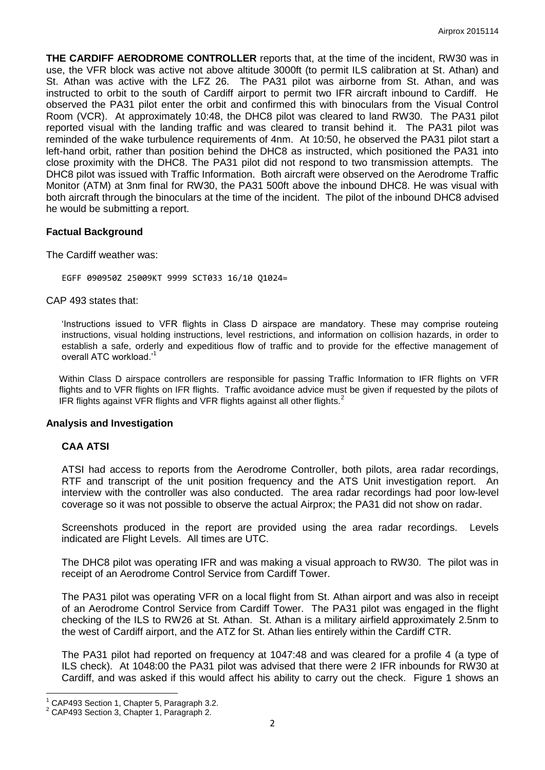**THE CARDIFF AERODROME CONTROLLER** reports that, at the time of the incident, RW30 was in use, the VFR block was active not above altitude 3000ft (to permit ILS calibration at St. Athan) and St. Athan was active with the LFZ 26. The PA31 pilot was airborne from St. Athan, and was instructed to orbit to the south of Cardiff airport to permit two IFR aircraft inbound to Cardiff. He observed the PA31 pilot enter the orbit and confirmed this with binoculars from the Visual Control Room (VCR). At approximately 10:48, the DHC8 pilot was cleared to land RW30. The PA31 pilot reported visual with the landing traffic and was cleared to transit behind it. The PA31 pilot was reminded of the wake turbulence requirements of 4nm. At 10:50, he observed the PA31 pilot start a left-hand orbit, rather than position behind the DHC8 as instructed, which positioned the PA31 into close proximity with the DHC8. The PA31 pilot did not respond to two transmission attempts. The DHC8 pilot was issued with Traffic Information. Both aircraft were observed on the Aerodrome Traffic Monitor (ATM) at 3nm final for RW30, the PA31 500ft above the inbound DHC8. He was visual with both aircraft through the binoculars at the time of the incident. The pilot of the inbound DHC8 advised he would be submitting a report.

### **Factual Background**

The Cardiff weather was:

EGFF 090950Z 25009KT 9999 SCT033 16/10 Q1024=

CAP 493 states that:

'Instructions issued to VFR flights in Class D airspace are mandatory. These may comprise routeing instructions, visual holding instructions, level restrictions, and information on collision hazards, in order to establish a safe, orderly and expeditious flow of traffic and to provide for the effective management of overall ATC workload.'<sup>1</sup>

Within Class D airspace controllers are responsible for passing Traffic Information to IFR flights on VFR flights and to VFR flights on IFR flights. Traffic avoidance advice must be given if requested by the pilots of IFR flights against VFR flights and VFR flights against all other flights. $2^2$ 

#### **Analysis and Investigation**

#### **CAA ATSI**

ATSI had access to reports from the Aerodrome Controller, both pilots, area radar recordings, RTF and transcript of the unit position frequency and the ATS Unit investigation report. An interview with the controller was also conducted. The area radar recordings had poor low-level coverage so it was not possible to observe the actual Airprox; the PA31 did not show on radar.

Screenshots produced in the report are provided using the area radar recordings. Levels indicated are Flight Levels. All times are UTC.

The DHC8 pilot was operating IFR and was making a visual approach to RW30. The pilot was in receipt of an Aerodrome Control Service from Cardiff Tower.

The PA31 pilot was operating VFR on a local flight from St. Athan airport and was also in receipt of an Aerodrome Control Service from Cardiff Tower. The PA31 pilot was engaged in the flight checking of the ILS to RW26 at St. Athan. St. Athan is a military airfield approximately 2.5nm to the west of Cardiff airport, and the ATZ for St. Athan lies entirely within the Cardiff CTR.

The PA31 pilot had reported on frequency at 1047:48 and was cleared for a profile 4 (a type of ILS check). At 1048:00 the PA31 pilot was advised that there were 2 IFR inbounds for RW30 at Cardiff, and was asked if this would affect his ability to carry out the check. Figure 1 shows an

 $\overline{\phantom{a}}$ 

<sup>1</sup> CAP493 Section 1, Chapter 5, Paragraph 3.2.

<sup>&</sup>lt;sup>2</sup> CAP493 Section 3, Chapter 1, Paragraph 2.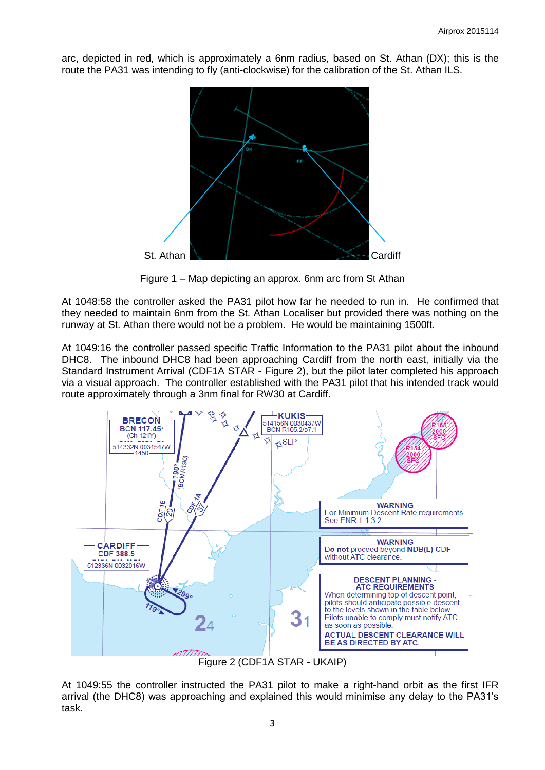arc, depicted in red, which is approximately a 6nm radius, based on St. Athan (DX); this is the route the PA31 was intending to fly (anti-clockwise) for the calibration of the St. Athan ILS.



Figure 1 – Map depicting an approx. 6nm arc from St Athan

At 1048:58 the controller asked the PA31 pilot how far he needed to run in. He confirmed that they needed to maintain 6nm from the St. Athan Localiser but provided there was nothing on the runway at St. Athan there would not be a problem. He would be maintaining 1500ft.

At 1049:16 the controller passed specific Traffic Information to the PA31 pilot about the inbound DHC8. The inbound DHC8 had been approaching Cardiff from the north east, initially via the Standard Instrument Arrival (CDF1A STAR - Figure 2), but the pilot later completed his approach via a visual approach. The controller established with the PA31 pilot that his intended track would route approximately through a 3nm final for RW30 at Cardiff.



Figure 2 (CDF1A STAR - UKAIP)

At 1049:55 the controller instructed the PA31 pilot to make a right-hand orbit as the first IFR arrival (the DHC8) was approaching and explained this would minimise any delay to the PA31's task.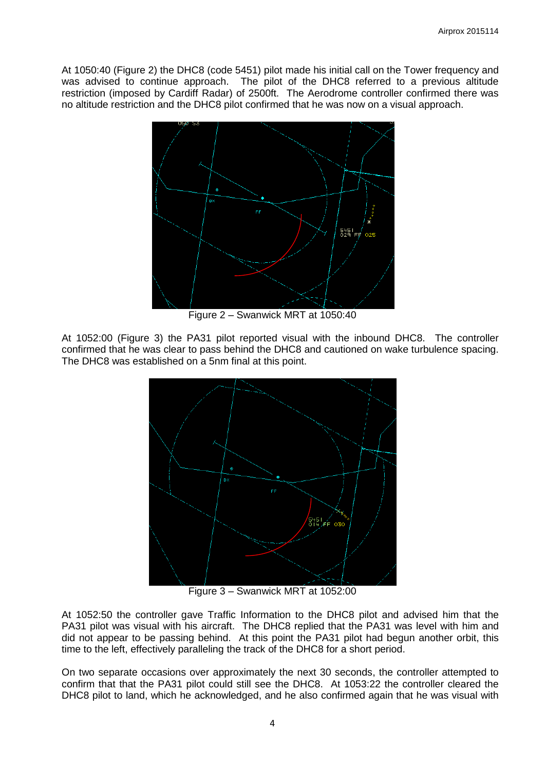At 1050:40 (Figure 2) the DHC8 (code 5451) pilot made his initial call on the Tower frequency and was advised to continue approach. The pilot of the DHC8 referred to a previous altitude restriction (imposed by Cardiff Radar) of 2500ft. The Aerodrome controller confirmed there was no altitude restriction and the DHC8 pilot confirmed that he was now on a visual approach.



Figure 2 – Swanwick MRT at 1050:40

At 1052:00 (Figure 3) the PA31 pilot reported visual with the inbound DHC8. The controller confirmed that he was clear to pass behind the DHC8 and cautioned on wake turbulence spacing. The DHC8 was established on a 5nm final at this point.



Figure 3 – Swanwick MRT at 1052:00

At 1052:50 the controller gave Traffic Information to the DHC8 pilot and advised him that the PA31 pilot was visual with his aircraft. The DHC8 replied that the PA31 was level with him and did not appear to be passing behind. At this point the PA31 pilot had begun another orbit, this time to the left, effectively paralleling the track of the DHC8 for a short period.

On two separate occasions over approximately the next 30 seconds, the controller attempted to confirm that that the PA31 pilot could still see the DHC8. At 1053:22 the controller cleared the DHC8 pilot to land, which he acknowledged, and he also confirmed again that he was visual with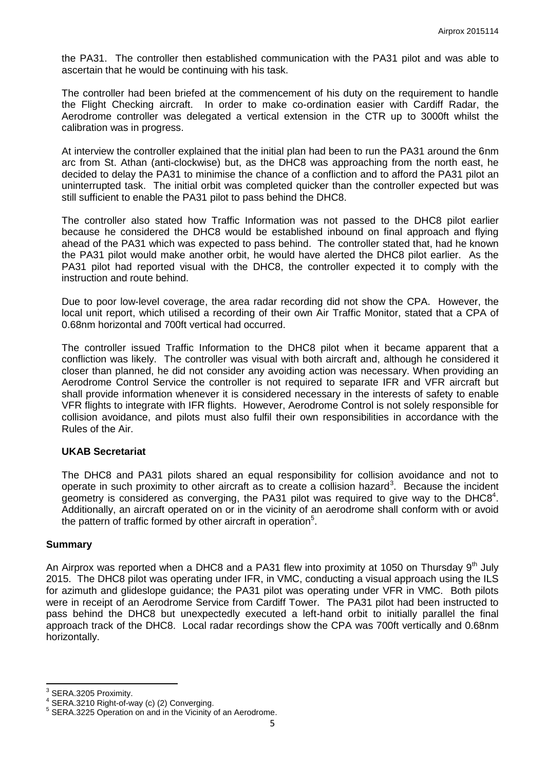the PA31. The controller then established communication with the PA31 pilot and was able to ascertain that he would be continuing with his task.

The controller had been briefed at the commencement of his duty on the requirement to handle the Flight Checking aircraft. In order to make co-ordination easier with Cardiff Radar, the Aerodrome controller was delegated a vertical extension in the CTR up to 3000ft whilst the calibration was in progress.

At interview the controller explained that the initial plan had been to run the PA31 around the 6nm arc from St. Athan (anti-clockwise) but, as the DHC8 was approaching from the north east, he decided to delay the PA31 to minimise the chance of a confliction and to afford the PA31 pilot an uninterrupted task. The initial orbit was completed quicker than the controller expected but was still sufficient to enable the PA31 pilot to pass behind the DHC8.

The controller also stated how Traffic Information was not passed to the DHC8 pilot earlier because he considered the DHC8 would be established inbound on final approach and flying ahead of the PA31 which was expected to pass behind. The controller stated that, had he known the PA31 pilot would make another orbit, he would have alerted the DHC8 pilot earlier. As the PA31 pilot had reported visual with the DHC8, the controller expected it to comply with the instruction and route behind.

Due to poor low-level coverage, the area radar recording did not show the CPA. However, the local unit report, which utilised a recording of their own Air Traffic Monitor, stated that a CPA of 0.68nm horizontal and 700ft vertical had occurred.

The controller issued Traffic Information to the DHC8 pilot when it became apparent that a confliction was likely. The controller was visual with both aircraft and, although he considered it closer than planned, he did not consider any avoiding action was necessary. When providing an Aerodrome Control Service the controller is not required to separate IFR and VFR aircraft but shall provide information whenever it is considered necessary in the interests of safety to enable VFR flights to integrate with IFR flights. However, Aerodrome Control is not solely responsible for collision avoidance, and pilots must also fulfil their own responsibilities in accordance with the Rules of the Air.

# **UKAB Secretariat**

The DHC8 and PA31 pilots shared an equal responsibility for collision avoidance and not to operate in such proximity to other aircraft as to create a collision hazard<sup>3</sup>. Because the incident geometry is considered as converging, the PA31 pilot was required to give way to the DHC8 $4$ . Additionally, an aircraft operated on or in the vicinity of an aerodrome shall conform with or avoid the pattern of traffic formed by other aircraft in operation<sup>5</sup>.

#### **Summary**

An Airprox was reported when a DHC8 and a PA31 flew into proximity at 1050 on Thursday  $9<sup>th</sup>$  July 2015. The DHC8 pilot was operating under IFR, in VMC, conducting a visual approach using the ILS for azimuth and glideslope guidance; the PA31 pilot was operating under VFR in VMC. Both pilots were in receipt of an Aerodrome Service from Cardiff Tower. The PA31 pilot had been instructed to pass behind the DHC8 but unexpectedly executed a left-hand orbit to initially parallel the final approach track of the DHC8. Local radar recordings show the CPA was 700ft vertically and 0.68nm horizontally.

<sup>&</sup>lt;u>3</u><br><sup>3</sup> SERA.3205 Proximity.<br><sup>4</sup> SERA 3310 Bight of u

SERA.3210 Right-of-way (c) (2) Converging.

<sup>&</sup>lt;sup>5</sup> SERA.3225 Operation on and in the Vicinity of an Aerodrome.